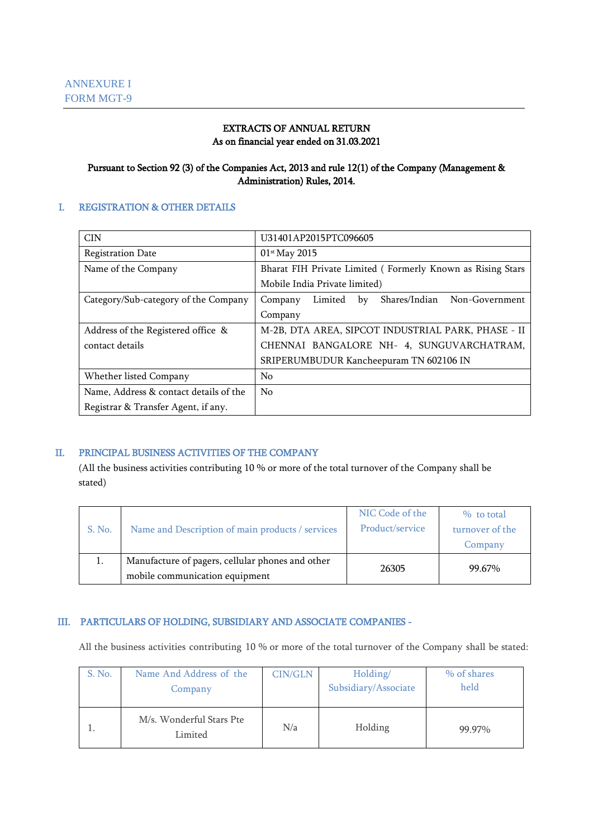#### EXTRACTS OF ANNUAL RETURN As on financial year ended on 31.03.2021

#### Pursuant to Section 92 (3) of the Companies Act, 2013 and rule 12(1) of the Company (Management & Administration) Rules, 2014.

#### I. REGISTRATION & OTHER DETAILS

| <b>CIN</b>                             | U31401AP2015PTC096605                                       |  |  |  |  |  |
|----------------------------------------|-------------------------------------------------------------|--|--|--|--|--|
| <b>Registration Date</b>               | 01st May 2015                                               |  |  |  |  |  |
| Name of the Company                    | Bharat FIH Private Limited (Formerly Known as Rising Stars  |  |  |  |  |  |
|                                        | Mobile India Private limited)                               |  |  |  |  |  |
| Category/Sub-category of the Company   | Non-Government<br>Shares/Indian<br>Limited<br>Company<br>by |  |  |  |  |  |
|                                        | Company                                                     |  |  |  |  |  |
| Address of the Registered office &     | M-2B, DTA AREA, SIPCOT INDUSTRIAL PARK, PHASE - II          |  |  |  |  |  |
| contact details                        | CHENNAI BANGALORE NH- 4, SUNGUVARCHATRAM,                   |  |  |  |  |  |
|                                        | SRIPERUMBUDUR Kancheepuram TN 602106 IN                     |  |  |  |  |  |
| Whether listed Company                 | No                                                          |  |  |  |  |  |
| Name, Address & contact details of the | N <sub>0</sub>                                              |  |  |  |  |  |
| Registrar & Transfer Agent, if any.    |                                                             |  |  |  |  |  |

### II. PRINCIPAL BUSINESS ACTIVITIES OF THE COMPANY

(All the business activities contributing 10 % or more of the total turnover of the Company shall be stated)

| S. No. | Name and Description of main products / services                                   | NIC Code of the<br>Product/service | $%$ to total<br>turnover of the<br>Company |
|--------|------------------------------------------------------------------------------------|------------------------------------|--------------------------------------------|
|        | Manufacture of pagers, cellular phones and other<br>mobile communication equipment | 26305                              | 99.67%                                     |

#### III. PARTICULARS OF HOLDING, SUBSIDIARY AND ASSOCIATE COMPANIES -

All the business activities contributing 10 % or more of the total turnover of the Company shall be stated:

| S. No. | Name And Address of the<br>Company  | <b>CIN/GLN</b> | Holding/<br>Subsidiary/Associate | % of shares<br>held |
|--------|-------------------------------------|----------------|----------------------------------|---------------------|
|        | M/s. Wonderful Stars Pte<br>Limited | N/a            | Holding                          | 99.97%              |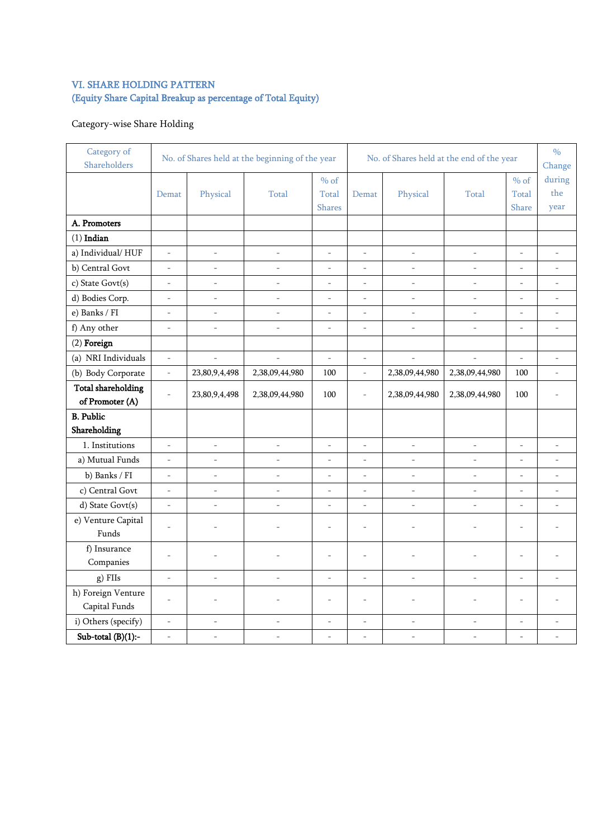# VI. SHARE HOLDING PATTERN (Equity Share Capital Breakup as percentage of Total Equity)

# Category-wise Share Holding

| Category of<br>Shareholders                  |                          | No. of Shares held at the beginning of the year |                          |                                  | No. of Shares held at the end of the year |                          |                          |                          | $\frac{0}{0}$<br>Change  |
|----------------------------------------------|--------------------------|-------------------------------------------------|--------------------------|----------------------------------|-------------------------------------------|--------------------------|--------------------------|--------------------------|--------------------------|
|                                              | Demat                    | Physical                                        | Total                    | $%$ of<br>Total<br><b>Shares</b> | Demat                                     | Physical                 | Total                    | $%$ of<br>Total<br>Share | during<br>the<br>year    |
| A. Promoters                                 |                          |                                                 |                          |                                  |                                           |                          |                          |                          |                          |
| $(1)$ Indian                                 |                          |                                                 |                          |                                  |                                           |                          |                          |                          |                          |
| a) Individual/HUF                            | $\overline{\phantom{a}}$ | $\overline{\phantom{a}}$                        | ÷,                       | ÷,                               | $\frac{1}{2}$                             | $\bar{a}$                | $\overline{\phantom{a}}$ | $\overline{\phantom{a}}$ | $\overline{\phantom{a}}$ |
| b) Central Govt                              | $\equiv$                 | $\bar{a}$                                       | $\bar{a}$                | $\overline{\phantom{a}}$         | $\frac{1}{2}$                             | $\overline{\phantom{a}}$ | $\bar{a}$                | $\overline{\phantom{a}}$ | $\overline{\phantom{a}}$ |
| c) State Govt(s)                             | $\bar{\phantom{a}}$      | $\overline{a}$                                  | $\sim$                   | $\overline{a}$                   | L.                                        | $\sim$                   | $\sim$                   | ÷.                       | $\overline{a}$           |
| d) Bodies Corp.                              | $\overline{\phantom{a}}$ | $\overline{\phantom{a}}$                        | ÷,                       | ÷,                               | $\overline{a}$                            | $\overline{\phantom{a}}$ | $\overline{\phantom{a}}$ | $\overline{a}$           | $\bar{a}$                |
| e) Banks / FI                                | $\overline{\phantom{a}}$ | $\overline{\phantom{a}}$                        | $\overline{\phantom{a}}$ | $\overline{\phantom{a}}$         | $\frac{1}{2}$                             | $\overline{\phantom{a}}$ | $\bar{a}$                | $\overline{\phantom{a}}$ | $\equiv$                 |
| f) Any other                                 | $\equiv$                 | $\overline{\phantom{a}}$                        | ÷,                       | ÷,                               | $\frac{1}{2}$                             | $\overline{\phantom{a}}$ | $\equiv$                 | $\frac{1}{2}$            | $\overline{\phantom{a}}$ |
| $(2)$ Foreign                                |                          |                                                 |                          |                                  |                                           |                          |                          |                          |                          |
| (a) NRI Individuals                          | $\overline{\phantom{a}}$ | $\overline{\phantom{a}}$                        | ÷,                       | $\overline{\phantom{a}}$         | $\frac{1}{2}$                             | $\overline{\phantom{a}}$ | $\bar{\phantom{a}}$      | $\overline{\phantom{a}}$ | $\overline{\phantom{a}}$ |
| (b) Body Corporate                           | $\bar{ }$                | 23,80,9,4,498                                   | 2,38,09,44,980           | 100                              | $\frac{1}{2}$                             | 2,38,09,44,980           | 2,38,09,44,980           | 100                      | $\overline{\phantom{a}}$ |
| <b>Total shareholding</b><br>of Promoter (A) | $\overline{\phantom{a}}$ | 23,80,9,4,498                                   | 2,38,09,44,980           | 100                              | $\frac{1}{2}$                             | 2,38,09,44,980           | 2,38,09,44,980           | 100                      |                          |
| <b>B.</b> Public<br>Shareholding             |                          |                                                 |                          |                                  |                                           |                          |                          |                          |                          |
| 1. Institutions                              | $\overline{\phantom{a}}$ | $\frac{1}{2}$                                   | ÷,                       | ÷,                               | $\frac{1}{2}$                             | $\overline{\phantom{a}}$ | $\overline{\phantom{a}}$ | $\overline{a}$           | $\overline{a}$           |
| a) Mutual Funds                              | $\overline{\phantom{a}}$ | $\blacksquare$                                  | $\frac{1}{2}$            | $\frac{1}{2}$                    | $\frac{1}{2}$                             | $\blacksquare$           | $\overline{\phantom{a}}$ | $\overline{\phantom{a}}$ | $\overline{\phantom{a}}$ |
| b) Banks / FI                                | $\overline{\phantom{a}}$ | $\overline{\phantom{a}}$                        | ÷,                       | ÷,                               | $\overline{a}$                            | $\bar{\phantom{a}}$      | $\bar{\phantom{a}}$      | $\frac{1}{2}$            | $\overline{\phantom{a}}$ |
| c) Central Govt                              | $\frac{1}{2}$            | $\frac{1}{2}$                                   | ÷,                       | $\overline{\phantom{a}}$         | $\overline{a}$                            | $\overline{\phantom{a}}$ | $\bar{a}$                | $\bar{a}$                | $\bar{a}$                |
| d) State Govt(s)                             | ÷,                       | $\frac{1}{2}$                                   | L.                       | $\overline{a}$                   | L,                                        | ÷,                       | ÷,                       | $\overline{a}$           | $\bar{a}$                |
| e) Venture Capital<br>Funds                  | $\overline{\phantom{a}}$ |                                                 | $\overline{\phantom{a}}$ | L,                               | ÷,                                        | $\overline{\phantom{a}}$ | $\overline{\phantom{a}}$ | $\overline{a}$           |                          |
| f) Insurance<br>Companies                    | $\overline{\phantom{a}}$ | $\bar{\phantom{a}}$                             | ÷,                       | $\overline{a}$                   | L.                                        | $\overline{a}$           | $\overline{a}$           | L,                       |                          |
| g) FIIs                                      | $\overline{\phantom{a}}$ | $\overline{a}$                                  | $\overline{a}$           | ÷,                               | $\overline{a}$                            | $\overline{a}$           | $\overline{a}$           | $\overline{a}$           |                          |
| h) Foreign Venture<br>Capital Funds          | $\overline{a}$           | L,                                              | $\overline{a}$           | L,                               | $\overline{\phantom{a}}$                  | $\overline{\phantom{a}}$ | L,                       | L.                       |                          |
| i) Others (specify)                          | $\blacksquare$           | $\blacksquare$                                  | $\blacksquare$           | $\blacksquare$                   | $\blacksquare$                            | $\blacksquare$           | $\overline{\phantom{a}}$ | $\overline{\phantom{a}}$ | $\overline{\phantom{a}}$ |
| Sub-total $(B)(1)$ :-                        | $\bar{\phantom{a}}$      | $\frac{1}{2}$                                   | $\overline{\phantom{a}}$ | ÷,                               | $\overline{a}$                            | $\mathcal{L}$            | $\overline{\phantom{a}}$ | $\overline{a}$           | $\overline{\phantom{a}}$ |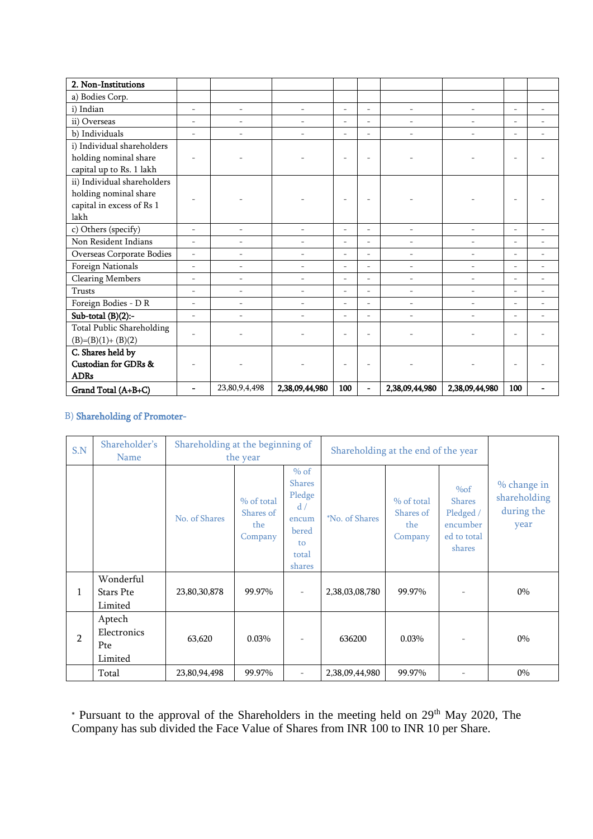| 2. Non-Institutions         |                          |                          |                          |                          |                          |                          |                          |                          |                          |
|-----------------------------|--------------------------|--------------------------|--------------------------|--------------------------|--------------------------|--------------------------|--------------------------|--------------------------|--------------------------|
| a) Bodies Corp.             |                          |                          |                          |                          |                          |                          |                          |                          |                          |
| i) Indian                   | $\bar{a}$                | $\overline{\phantom{0}}$ | $\overline{a}$           | $\bar{a}$                | $\sim$                   | $\overline{a}$           | $\overline{\phantom{a}}$ | $\overline{a}$           | $\overline{\phantom{a}}$ |
| ii) Overseas                | $\overline{\phantom{a}}$ | $\overline{\phantom{0}}$ | $\sim$                   | $\overline{\phantom{a}}$ | $\bar{a}$                | ÷.                       | $\bar{a}$                | L.                       | $\overline{\phantom{a}}$ |
| b) Individuals              | $\overline{\phantom{a}}$ | $\overline{\phantom{0}}$ | ÷.                       | $\bar{a}$                | $\sim$                   | ÷.                       | $\bar{a}$                | $\overline{\phantom{a}}$ | $\overline{\phantom{a}}$ |
| i) Individual shareholders  |                          |                          |                          |                          |                          |                          |                          |                          |                          |
| holding nominal share       | $\equiv$                 | $\overline{\phantom{0}}$ |                          | $\overline{\phantom{a}}$ |                          |                          |                          | $\overline{a}$           |                          |
| capital up to Rs. 1 lakh    |                          |                          |                          |                          |                          |                          |                          |                          |                          |
| ii) Individual shareholders |                          |                          |                          |                          |                          |                          |                          |                          |                          |
| holding nominal share       | $\equiv$                 |                          |                          | $\overline{\phantom{a}}$ |                          |                          |                          | $\overline{a}$           |                          |
| capital in excess of Rs 1   |                          |                          |                          |                          |                          |                          |                          |                          |                          |
| lakh                        |                          |                          |                          |                          |                          |                          |                          |                          |                          |
| c) Others (specify)         | ÷.                       | $\overline{\phantom{0}}$ | $\overline{\phantom{a}}$ | $\sim$                   | $\bar{a}$                | $\overline{\phantom{a}}$ | $\sim$                   | $\overline{a}$           | $\sim$                   |
| Non Resident Indians        | $\sim$                   | $\overline{\phantom{0}}$ | $\sim$                   | $\bar{a}$                | $\sim$                   | $\overline{\phantom{0}}$ | $\overline{\phantom{a}}$ | ÷.                       | $\overline{\phantom{a}}$ |
| Overseas Corporate Bodies   | $\equiv$                 | $\overline{\phantom{a}}$ | $\equiv$                 | $\bar{a}$                | $\sim$                   | $\overline{\phantom{a}}$ | $\sim$                   | $\overline{a}$           | $\sim$                   |
| Foreign Nationals           | $\overline{\phantom{a}}$ | $\overline{\phantom{0}}$ | $\sim$                   | $\overline{\phantom{a}}$ | $\sim$                   | $\overline{\phantom{a}}$ | $\overline{\phantom{a}}$ | $\overline{\phantom{a}}$ | $\overline{\phantom{a}}$ |
| <b>Clearing Members</b>     | $\overline{\phantom{a}}$ | $\overline{\phantom{0}}$ |                          | $\overline{\phantom{a}}$ | $\equiv$                 | $\overline{\phantom{0}}$ | $\overline{\phantom{a}}$ | $\overline{\phantom{a}}$ | $\overline{\phantom{a}}$ |
| Trusts                      | ÷.                       | $\bar{ }$                | $\overline{\phantom{a}}$ | $\bar{a}$                |                          | $\overline{\phantom{a}}$ | $\overline{\phantom{a}}$ | L.                       | $\overline{\phantom{a}}$ |
| Foreign Bodies - D R        | $\overline{\phantom{a}}$ | $\overline{\phantom{0}}$ | $\sim$                   | $\bar{a}$                | $\sim$                   | ÷.                       | $\overline{\phantom{a}}$ | ÷.                       | $\sim$                   |
| Sub-total $(B)(2)$ :-       | ÷,                       | $\bar{ }$                | $\overline{a}$           | $\bar{a}$                | $\sim$                   | $\overline{\phantom{0}}$ | $\overline{\phantom{a}}$ | $\overline{\phantom{a}}$ | $\overline{\phantom{a}}$ |
| Total Public Shareholding   | $\overline{\phantom{a}}$ | L.                       |                          | $\sim$                   |                          |                          |                          | $\overline{a}$           |                          |
| $(B)=(B)(1)+(B)(2)$         |                          |                          |                          |                          |                          |                          |                          |                          |                          |
| C. Shares held by           |                          |                          |                          |                          |                          |                          |                          |                          |                          |
| Custodian for GDRs &        | $\equiv$                 |                          |                          | $\overline{\phantom{a}}$ |                          |                          |                          | $\overline{\phantom{a}}$ |                          |
| <b>ADRs</b>                 |                          |                          |                          |                          |                          |                          |                          |                          |                          |
| Grand Total (A+B+C)         | $\blacksquare$           | 23,80,9,4,498            | 2,38,09,44,980           | 100                      | $\overline{\phantom{0}}$ | 2,38,09,44,980           | 2,38,09,44,980           | 100                      | $\blacksquare$           |

# B) Shareholding of Promoter-

| S.N            | Shareholder's<br>Name                    | Shareholding at the beginning of | the year                                  |                                                                                    | Shareholding at the end of the year |                                           |                                                                           |                                                   |
|----------------|------------------------------------------|----------------------------------|-------------------------------------------|------------------------------------------------------------------------------------|-------------------------------------|-------------------------------------------|---------------------------------------------------------------------------|---------------------------------------------------|
|                |                                          | No. of Shares                    | % of total<br>Shares of<br>the<br>Company | $%$ of<br><b>Shares</b><br>Pledge<br>d/<br>encum<br>bered<br>to<br>total<br>shares | <i>No. of Shares</i>                | % of total<br>Shares of<br>the<br>Company | $\%of$<br><b>Shares</b><br>Pledged /<br>encumber<br>ed to total<br>shares | % change in<br>shareholding<br>during the<br>year |
| 1              | Wonderful<br><b>Stars Pte</b><br>Limited | 23,80,30,878                     | 99.97%                                    | $\overline{\phantom{a}}$                                                           | 2,38,03,08,780                      | 99.97%                                    |                                                                           | $0\%$                                             |
| $\overline{2}$ | Aptech<br>Electronics<br>Pte<br>Limited  | 63,620                           | 0.03%                                     |                                                                                    | 636200                              | 0.03%                                     |                                                                           | $0\%$                                             |
|                | Total                                    | 23,80,94,498                     | 99.97%                                    | $\overline{\phantom{a}}$                                                           | 2,38,09,44,980                      | 99.97%                                    |                                                                           | $0\%$                                             |

\* Pursuant to the approval of the Shareholders in the meeting held on  $29<sup>th</sup>$  May 2020, The Company has sub divided the Face Value of Shares from INR 100 to INR 10 per Share.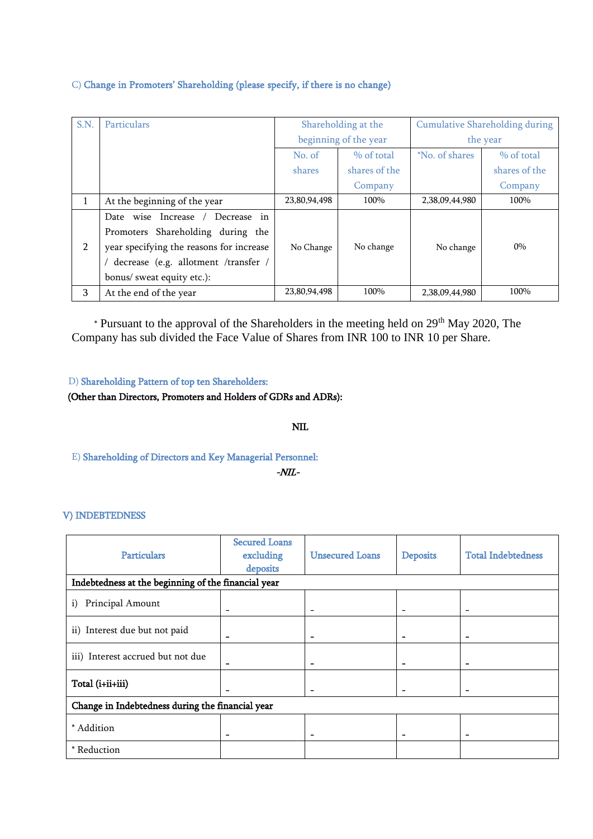#### C) Change in Promoters' Shareholding (please specify, if there is no change)

| S.N.           | <b>Particulars</b>                       |                       | Shareholding at the |                | <b>Cumulative Shareholding during</b> |
|----------------|------------------------------------------|-----------------------|---------------------|----------------|---------------------------------------|
|                |                                          | beginning of the year |                     | the year       |                                       |
|                |                                          | No. of                | % of total          | *No. of shares | $%$ of total                          |
|                |                                          | shares                | shares of the       |                | shares of the                         |
|                |                                          |                       | Company             |                | Company                               |
|                | At the beginning of the year             | 23,80,94,498          | 100%                | 2,38,09,44,980 | 100%                                  |
|                | Decrease in<br>Date wise Increase /      |                       |                     |                |                                       |
|                | Promoters Shareholding during the        |                       |                     |                |                                       |
| $\overline{2}$ | year specifying the reasons for increase | No Change             | No change           | No change      | $0\%$                                 |
|                | decrease (e.g. allotment /transfer /     |                       |                     |                |                                       |
|                | bonus/ sweat equity etc.):               |                       |                     |                |                                       |
| 3              | At the end of the year                   | 23,80,94,498          | 100%                | 2,38,09,44,980 | 100%                                  |

 \* Pursuant to the approval of the Shareholders in the meeting held on 29th May 2020, The Company has sub divided the Face Value of Shares from INR 100 to INR 10 per Share.

D) Shareholding Pattern of top ten Shareholders:

#### (Other than Directors, Promoters and Holders of GDRs and ADRs):

#### NIL

E) Shareholding of Directors and Key Managerial Personnel:

-NIL-

#### V) INDEBTEDNESS

| <b>Particulars</b>                               | <b>Secured Loans</b><br>excluding                   | <b>Unsecured Loans</b>       | <b>Deposits</b> | <b>Total Indebtedness</b> |  |  |  |  |  |
|--------------------------------------------------|-----------------------------------------------------|------------------------------|-----------------|---------------------------|--|--|--|--|--|
|                                                  | deposits                                            |                              |                 |                           |  |  |  |  |  |
|                                                  | Indebtedness at the beginning of the financial year |                              |                 |                           |  |  |  |  |  |
| Principal Amount<br>i)                           | $\overline{\phantom{0}}$                            | $\qquad \qquad \blacksquare$ |                 |                           |  |  |  |  |  |
| ii) Interest due but not paid                    | -                                                   | $\qquad \qquad$              |                 |                           |  |  |  |  |  |
| iii) Interest accrued but not due                | ۰                                                   |                              |                 |                           |  |  |  |  |  |
| Total (i+ii+iii)                                 |                                                     |                              |                 |                           |  |  |  |  |  |
| Change in Indebtedness during the financial year |                                                     |                              |                 |                           |  |  |  |  |  |
| * Addition                                       | $\qquad \qquad$                                     | $\overline{\phantom{0}}$     |                 |                           |  |  |  |  |  |
| * Reduction                                      |                                                     |                              |                 |                           |  |  |  |  |  |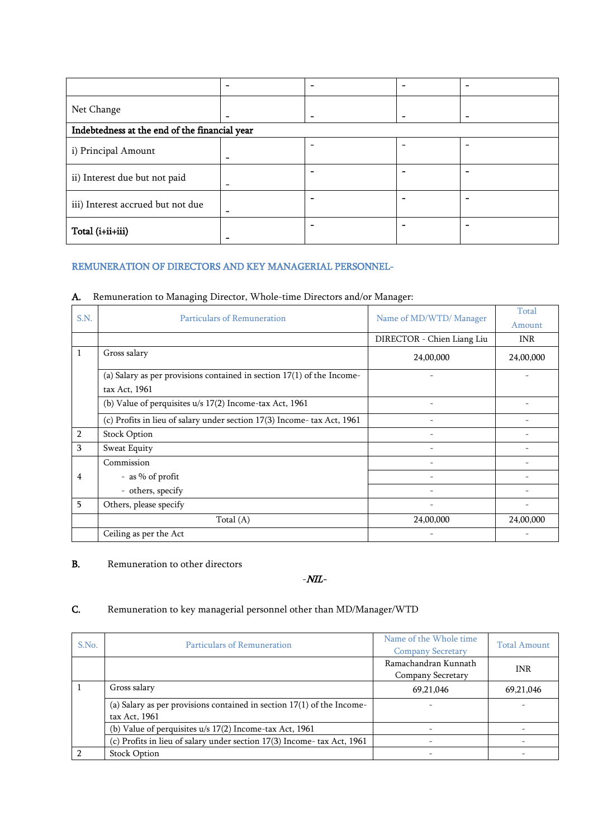|                                   | $\qquad \qquad \blacksquare$                  |  |  |  |  |  |  |  |
|-----------------------------------|-----------------------------------------------|--|--|--|--|--|--|--|
| Net Change                        | $\overline{\phantom{0}}$                      |  |  |  |  |  |  |  |
|                                   | Indebtedness at the end of the financial year |  |  |  |  |  |  |  |
| i) Principal Amount               | $\overline{\phantom{a}}$                      |  |  |  |  |  |  |  |
| ii) Interest due but not paid     | -                                             |  |  |  |  |  |  |  |
| iii) Interest accrued but not due | -                                             |  |  |  |  |  |  |  |
| Total (i+ii+iii)                  | $\qquad \qquad$                               |  |  |  |  |  |  |  |

#### REMUNERATION OF DIRECTORS AND KEY MANAGERIAL PERSONNEL-

#### A. Remuneration to Managing Director, Whole-time Directors and/or Manager:

| S.N.           | Particulars of Remuneration                                              | Name of MD/WTD/ Manager    | Total      |
|----------------|--------------------------------------------------------------------------|----------------------------|------------|
|                |                                                                          |                            | Amount     |
|                |                                                                          | DIRECTOR - Chien Liang Liu | <b>INR</b> |
| 1              | Gross salary                                                             | 24,00,000                  | 24,00,000  |
|                | (a) Salary as per provisions contained in section $17(1)$ of the Income- |                            |            |
|                | tax Act, 1961                                                            |                            |            |
|                | (b) Value of perquisites u/s 17(2) Income-tax Act, 1961                  |                            |            |
|                | (c) Profits in lieu of salary under section 17(3) Income- tax Act, 1961  |                            |            |
| $\overline{2}$ | <b>Stock Option</b>                                                      | $\overline{\phantom{a}}$   |            |
| 3              | Sweat Equity                                                             |                            |            |
|                | Commission                                                               |                            |            |
| 4              | - as % of profit                                                         |                            |            |
|                | - others, specify                                                        | $\overline{\phantom{a}}$   |            |
| 5              | Others, please specify                                                   |                            |            |
|                | Total $(A)$                                                              | 24,00,000                  | 24,00,000  |
|                | Ceiling as per the Act                                                   |                            |            |

#### **B.** Remuneration to other directors

-NIL-

## C. Remuneration to key managerial personnel other than MD/Manager/WTD

| S.No. | Particulars of Remuneration                                                               | Name of the Whole time<br><b>Company Secretary</b> | <b>Total Amount</b> |
|-------|-------------------------------------------------------------------------------------------|----------------------------------------------------|---------------------|
|       |                                                                                           | Ramachandran Kunnath<br>Company Secretary          | <b>INR</b>          |
|       | Gross salary                                                                              | 69,21,046                                          | 69,21,046           |
|       | (a) Salary as per provisions contained in section $17(1)$ of the Income-<br>tax Act, 1961 |                                                    |                     |
|       | (b) Value of perquisites u/s 17(2) Income-tax Act, 1961                                   |                                                    |                     |
|       | (c) Profits in lieu of salary under section 17(3) Income-tax Act, 1961                    |                                                    |                     |
|       | <b>Stock Option</b>                                                                       |                                                    |                     |